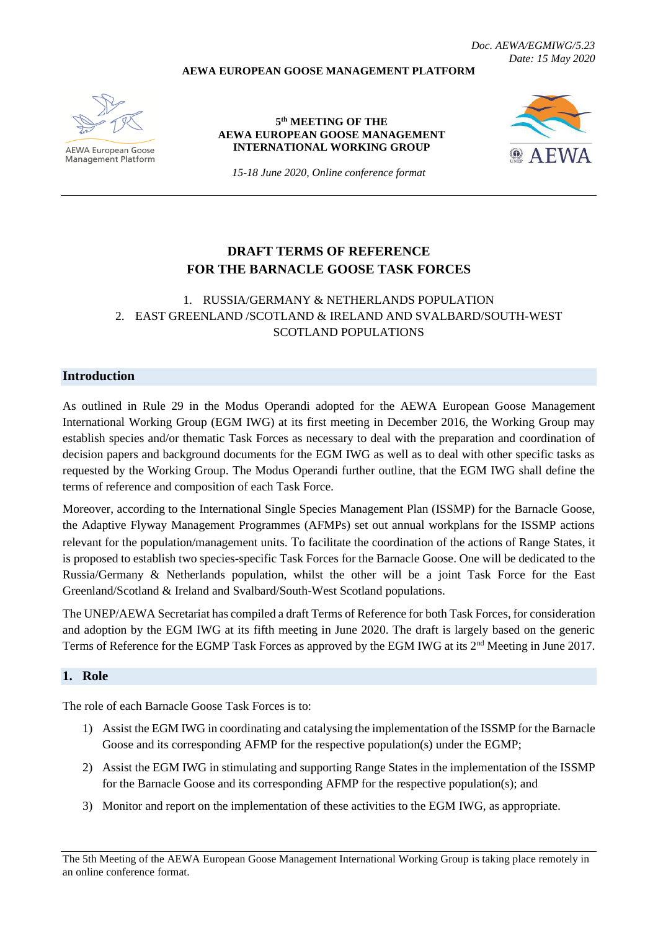**AEWA EUROPEAN GOOSE MANAGEMENT PLATFORM**

*Doc. AEWA/EGMIWG/5.23 Date: 15 May 2020*

**AEWA European Goose Management Platform** 

#### **5 th MEETING OF THE AEWA EUROPEAN GOOSE MANAGEMENT INTERNATIONAL WORKING GROUP**



*15-18 June 2020, Online conference format*

# **DRAFT TERMS OF REFERENCE FOR THE BARNACLE GOOSE TASK FORCES**

## 1. RUSSIA/GERMANY & NETHERLANDS POPULATION 2. EAST GREENLAND /SCOTLAND & IRELAND AND SVALBARD/SOUTH-WEST SCOTLAND POPULATIONS

### **Introduction**

As outlined in Rule 29 in the Modus Operandi adopted for the AEWA European Goose Management International Working Group (EGM IWG) at its first meeting in December 2016, the Working Group may establish species and/or thematic Task Forces as necessary to deal with the preparation and coordination of decision papers and background documents for the EGM IWG as well as to deal with other specific tasks as requested by the Working Group. The Modus Operandi further outline, that the EGM IWG shall define the terms of reference and composition of each Task Force.

Moreover, according to the International Single Species Management Plan (ISSMP) for the Barnacle Goose, the Adaptive Flyway Management Programmes (AFMPs) set out annual workplans for the ISSMP actions relevant for the population/management units. To facilitate the coordination of the actions of Range States, it is proposed to establish two species-specific Task Forces for the Barnacle Goose. One will be dedicated to the Russia/Germany & Netherlands population, whilst the other will be a joint Task Force for the East Greenland/Scotland & Ireland and Svalbard/South-West Scotland populations.

The UNEP/AEWA Secretariat has compiled a draft Terms of Reference for both Task Forces, for consideration and adoption by the EGM IWG at its fifth meeting in June 2020. The draft is largely based on the generic Terms of Reference for the EGMP Task Forces as approved by the EGM IWG at its 2<sup>nd</sup> Meeting in June 2017.

#### **1. Role**

The role of each Barnacle Goose Task Forces is to:

- 1) Assist the EGM IWG in coordinating and catalysing the implementation of the ISSMP for the Barnacle Goose and its corresponding AFMP for the respective population(s) under the EGMP;
- 2) Assist the EGM IWG in stimulating and supporting Range States in the implementation of the ISSMP for the Barnacle Goose and its corresponding AFMP for the respective population(s); and
- 3) Monitor and report on the implementation of these activities to the EGM IWG, as appropriate.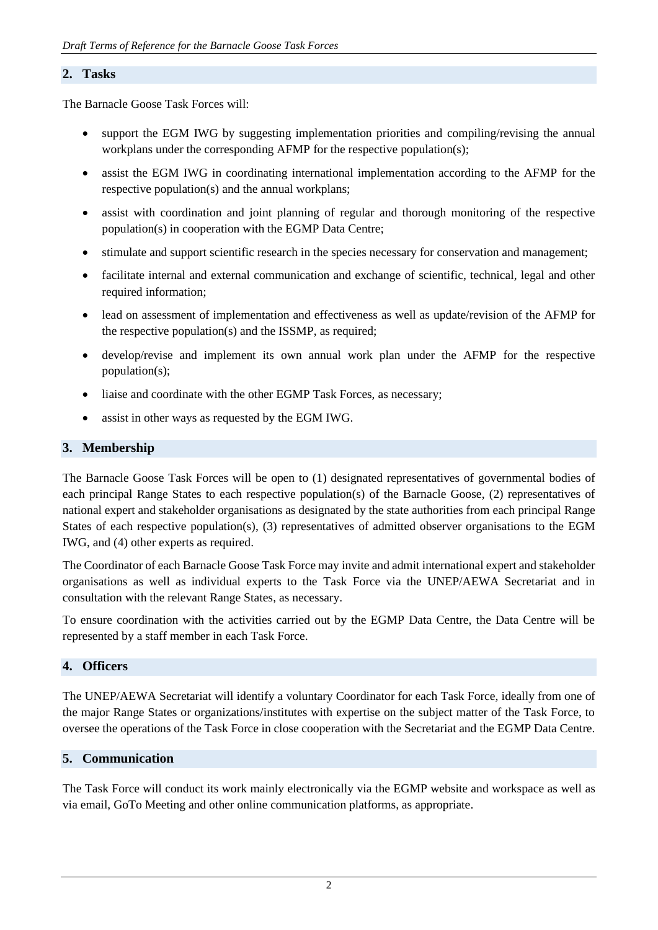#### **2. Tasks**

The Barnacle Goose Task Forces will:

- support the EGM IWG by suggesting implementation priorities and compiling/revising the annual workplans under the corresponding AFMP for the respective population(s);
- assist the EGM IWG in coordinating international implementation according to the AFMP for the respective population(s) and the annual workplans;
- assist with coordination and joint planning of regular and thorough monitoring of the respective population(s) in cooperation with the EGMP Data Centre;
- stimulate and support scientific research in the species necessary for conservation and management;
- facilitate internal and external communication and exchange of scientific, technical, legal and other required information;
- lead on assessment of implementation and effectiveness as well as update/revision of the AFMP for the respective population(s) and the ISSMP, as required;
- develop/revise and implement its own annual work plan under the AFMP for the respective population(s);
- liaise and coordinate with the other EGMP Task Forces, as necessary;
- assist in other ways as requested by the EGM IWG.

#### **3. Membership**

The Barnacle Goose Task Forces will be open to (1) designated representatives of governmental bodies of each principal Range States to each respective population(s) of the Barnacle Goose, (2) representatives of national expert and stakeholder organisations as designated by the state authorities from each principal Range States of each respective population(s), (3) representatives of admitted observer organisations to the EGM IWG, and (4) other experts as required.

The Coordinator of each Barnacle Goose Task Force may invite and admit international expert and stakeholder organisations as well as individual experts to the Task Force via the UNEP/AEWA Secretariat and in consultation with the relevant Range States, as necessary.

To ensure coordination with the activities carried out by the EGMP Data Centre, the Data Centre will be represented by a staff member in each Task Force.

#### **4. Officers**

The UNEP/AEWA Secretariat will identify a voluntary Coordinator for each Task Force, ideally from one of the major Range States or organizations/institutes with expertise on the subject matter of the Task Force, to oversee the operations of the Task Force in close cooperation with the Secretariat and the EGMP Data Centre.

### **5. Communication**

The Task Force will conduct its work mainly electronically via the EGMP website and workspace as well as via email, GoTo Meeting and other online communication platforms, as appropriate.